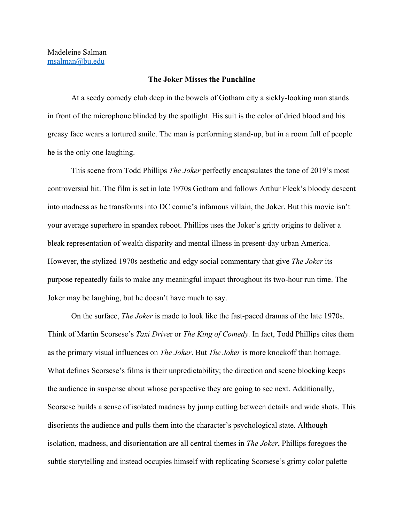## **The Joker Misses the Punchline**

At a seedy comedy club deep in the bowels of Gotham city a sickly-looking man stands in front of the microphone blinded by the spotlight. His suit is the color of dried blood and his greasy face wears a tortured smile. The man is performing stand-up, but in a room full of people he is the only one laughing.

This scene from Todd Phillips *The Joker* perfectly encapsulates the tone of 2019's most controversial hit. The film is set in late 1970s Gotham and follows Arthur Fleck's bloody descent into madness as he transforms into DC comic's infamous villain, the Joker. But this movie isn't your average superhero in spandex reboot. Phillips uses the Joker's gritty origins to deliver a bleak representation of wealth disparity and mental illness in present-day urban America. However, the stylized 1970s aesthetic and edgy social commentary that give *The Joker* its purpose repeatedly fails to make any meaningful impact throughout its two-hour run time. The Joker may be laughing, but he doesn't have much to say.

On the surface, *The Joker* is made to look like the fast-paced dramas of the late 1970s. Think of Martin Scorsese's *Taxi Drive*r or *The King of Comedy.* In fact, Todd Phillips cites them as the primary visual influences on *The Joker*. But *The Joker* is more knockoff than homage. What defines Scorsese's films is their unpredictability; the direction and scene blocking keeps the audience in suspense about whose perspective they are going to see next. Additionally, Scorsese builds a sense of isolated madness by jump cutting between details and wide shots. This disorients the audience and pulls them into the character's psychological state. Although isolation, madness, and disorientation are all central themes in *The Joker*, Phillips foregoes the subtle storytelling and instead occupies himself with replicating Scorsese's grimy color palette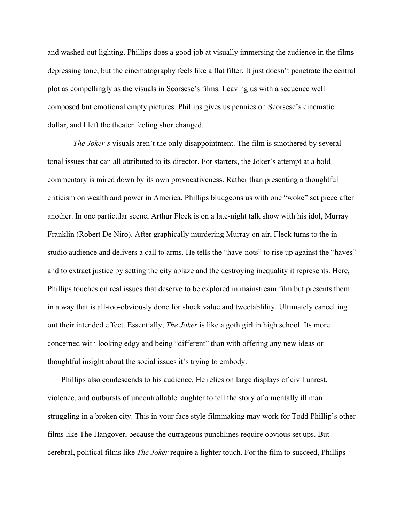and washed out lighting. Phillips does a good job at visually immersing the audience in the films depressing tone, but the cinematography feels like a flat filter. It just doesn't penetrate the central plot as compellingly as the visuals in Scorsese's films. Leaving us with a sequence well composed but emotional empty pictures. Phillips gives us pennies on Scorsese's cinematic dollar, and I left the theater feeling shortchanged.

*The Joker's* visuals aren't the only disappointment. The film is smothered by several tonal issues that can all attributed to its director. For starters, the Joker's attempt at a bold commentary is mired down by its own provocativeness. Rather than presenting a thoughtful criticism on wealth and power in America, Phillips bludgeons us with one "woke" set piece after another. In one particular scene, Arthur Fleck is on a late-night talk show with his idol, Murray Franklin (Robert De Niro). After graphically murdering Murray on air, Fleck turns to the instudio audience and delivers a call to arms. He tells the "have-nots" to rise up against the "haves" and to extract justice by setting the city ablaze and the destroying inequality it represents. Here, Phillips touches on real issues that deserve to be explored in mainstream film but presents them in a way that is all-too-obviously done for shock value and tweetablility. Ultimately cancelling out their intended effect. Essentially, *The Joker* is like a goth girl in high school. Its more concerned with looking edgy and being "different" than with offering any new ideas or thoughtful insight about the social issues it's trying to embody.

Phillips also condescends to his audience. He relies on large displays of civil unrest, violence, and outbursts of uncontrollable laughter to tell the story of a mentally ill man struggling in a broken city. This in your face style filmmaking may work for Todd Phillip's other films like The Hangover, because the outrageous punchlines require obvious set ups. But cerebral, political films like *The Joker* require a lighter touch. For the film to succeed, Phillips